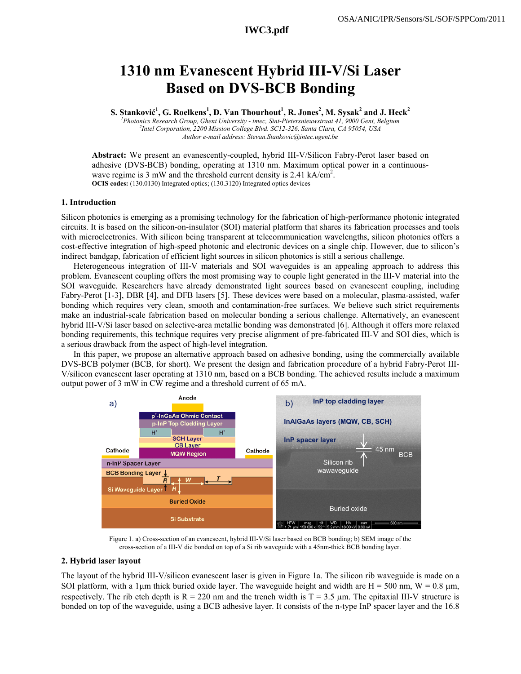# **IWC3.pdf**

# **1310 nm Evanescent Hybrid III-V/Si Laser Based on DVS-BCB Bonding**

**S. Stanković<sup>1</sup>, G. Roelkens<sup>1</sup>, D. Van Thourhout<sup>1</sup>, R. Jones<sup>2</sup>, M. Sysak<sup>2</sup> and J. Heck<sup>2</sup><br>
<sup>1</sup> Photovice Research Group Chart University, image Sint Rictorenianswtreat 41, 0000 Gart Relation** 

<sup>1</sup> Photonics Research Group, Ghent University - imec, Sint-Pietersnieuwstraat 41, 9000 Gent, Belgium *Intel Corporation, 2200 Mission College Blvd. SC12-326, Santa Clara, CA 95054, USA Author e-mail address: Stevan.Stankovic@intec.ugent.be* 

**Abstract:** We present an evanescently-coupled, hybrid III-V/Silicon Fabry-Perot laser based on adhesive (DVS-BCB) bonding, operating at 1310 nm. Maximum optical power in a continuouswave regime is 3 mW and the threshold current density is 2.41 kA/cm<sup>2</sup>. **OCIS codes:** (130.0130) Integrated optics; (130.3120) Integrated optics devices

#### **1. Introduction**

Silicon photonics is emerging as a promising technology for the fabrication of high-performance photonic integrated circuits. It is based on the silicon-on-insulator (SOI) material platform that shares its fabrication processes and tools with microelectronics. With silicon being transparent at telecommunication wavelengths, silicon photonics offers a cost-effective integration of high-speed photonic and electronic devices on a single chip. However, due to silicon's indirect bandgap, fabrication of efficient light sources in silicon photonics is still a serious challenge.

Heterogeneous integration of III-V materials and SOI waveguides is an appealing approach to address this problem. Evanescent coupling offers the most promising way to couple light generated in the III-V material into the SOI waveguide. Researchers have already demonstrated light sources based on evanescent coupling, including Fabry-Perot [1-3], DBR [4], and DFB lasers [5]. These devices were based on a molecular, plasma-assisted, wafer bonding which requires very clean, smooth and contamination-free surfaces. We believe such strict requirements make an industrial-scale fabrication based on molecular bonding a serious challenge. Alternatively, an evanescent hybrid III-V/Si laser based on selective-area metallic bonding was demonstrated [6]. Although it offers more relaxed bonding requirements, this technique requires very precise alignment of pre-fabricated III-V and SOI dies, which is a serious drawback from the aspect of high-level integration.

In this paper, we propose an alternative approach based on adhesive bonding, using the commercially available DVS-BCB polymer (BCB, for short). We present the design and fabrication procedure of a hybrid Fabry-Perot III-V/silicon evanescent laser operating at 1310 nm, based on a BCB bonding. The achieved results include a maximum output power of 3 mW in CW regime and a threshold current of 65 mA.



Figure 1. a) Cross-section of an evanescent, hybrid III-V/Si laser based on BCB bonding; b) SEM image of the cross-section of a III-V die bonded on top of a Si rib waveguide with a 45nm-thick BCB bonding layer.

#### **2. Hybrid laser layout**

The layout of the hybrid III-V/silicon evanescent laser is given in Figure 1a. The silicon rib waveguide is made on a SOI platform, with a 1 $\mu$ m thick buried oxide layer. The waveguide height and width are H = 500 nm, W = 0.8  $\mu$ m, respectively. The rib etch depth is  $R = 220$  nm and the trench width is  $T = 3.5$  µm. The epitaxial III-V structure is bonded on top of the waveguide, using a BCB adhesive layer. It consists of the n-type InP spacer layer and the 16.8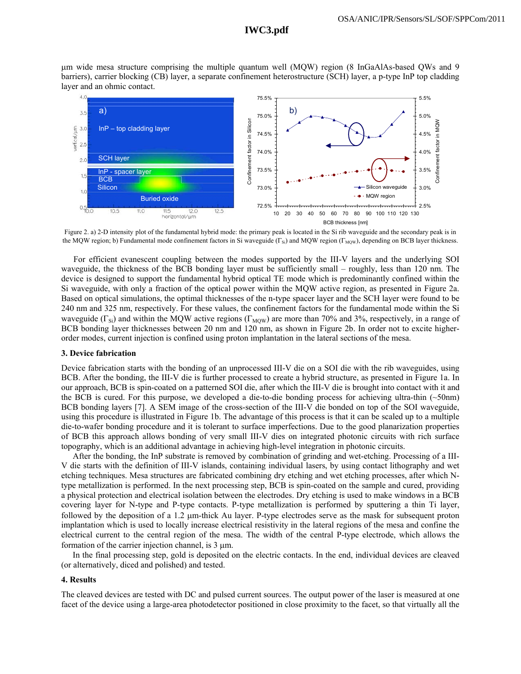# **IWC3.pdf**

µm wide mesa structure comprising the multiple quantum well (MQW) region (8 InGaAlAs-based QWs and 9 barriers), carrier blocking (CB) layer, a separate confinement heterostructure (SCH) layer, a p-type InP top cladding layer and an ohmic contact.



Figure 2. a) 2-D intensity plot of the fundamental hybrid mode: the primary peak is located in the Si rib waveguide and the secondary peak is in the MQW region; b) Fundamental mode confinement factors in Si waveguide ( $\Gamma_{si}$ ) and MQW region ( $\Gamma_{MOW}$ ), depending on BCB layer thickness.

For efficient evanescent coupling between the modes supported by the III-V layers and the underlying SOI waveguide, the thickness of the BCB bonding layer must be sufficiently small – roughly, less than 120 nm. The device is designed to support the fundamental hybrid optical TE mode which is predominantly confined within the Si waveguide, with only a fraction of the optical power within the MQW active region, as presented in Figure 2a. Based on optical simulations, the optimal thicknesses of the n-type spacer layer and the SCH layer were found to be 240 nm and 325 nm, respectively. For these values, the confinement factors for the fundamental mode within the Si waveguide ( $\Gamma_{\text{Si}}$ ) and within the MQW active regions ( $\Gamma_{\text{MOW}}$ ) are more than 70% and 3%, respectively, in a range of BCB bonding layer thicknesses between 20 nm and 120 nm, as shown in Figure 2b. In order not to excite higherorder modes, current injection is confined using proton implantation in the lateral sections of the mesa.

## **3. Device fabrication**

Device fabrication starts with the bonding of an unprocessed III-V die on a SOI die with the rib waveguides, using BCB. After the bonding, the III-V die is further processed to create a hybrid structure, as presented in Figure 1a. In our approach, BCB is spin-coated on a patterned SOI die, after which the III-V die is brought into contact with it and the BCB is cured. For this purpose, we developed a die-to-die bonding process for achieving ultra-thin (~50nm) BCB bonding layers [7]. A SEM image of the cross-section of the III-V die bonded on top of the SOI waveguide, using this procedure is illustrated in Figure 1b. The advantage of this process is that it can be scaled up to a multiple die-to-wafer bonding procedure and it is tolerant to surface imperfections. Due to the good planarization properties of BCB this approach allows bonding of very small III-V dies on integrated photonic circuits with rich surface topography, which is an additional advantage in achieving high-level integration in photonic circuits.

After the bonding, the InP substrate is removed by combination of grinding and wet-etching. Processing of a III-V die starts with the definition of III-V islands, containing individual lasers, by using contact lithography and wet etching techniques. Mesa structures are fabricated combining dry etching and wet etching processes, after which Ntype metallization is performed. In the next processing step, BCB is spin-coated on the sample and cured, providing a physical protection and electrical isolation between the electrodes. Dry etching is used to make windows in a BCB covering layer for N-type and P-type contacts. P-type metallization is performed by sputtering a thin Ti layer, followed by the deposition of a 1.2 µm-thick Au layer. P-type electrodes serve as the mask for subsequent proton implantation which is used to locally increase electrical resistivity in the lateral regions of the mesa and confine the electrical current to the central region of the mesa. The width of the central P-type electrode, which allows the formation of the carrier injection channel, is 3 µm.

In the final processing step, gold is deposited on the electric contacts. In the end, individual devices are cleaved (or alternatively, diced and polished) and tested.

### **4. Results**

The cleaved devices are tested with DC and pulsed current sources. The output power of the laser is measured at one facet of the device using a large-area photodetector positioned in close proximity to the facet, so that virtually all the